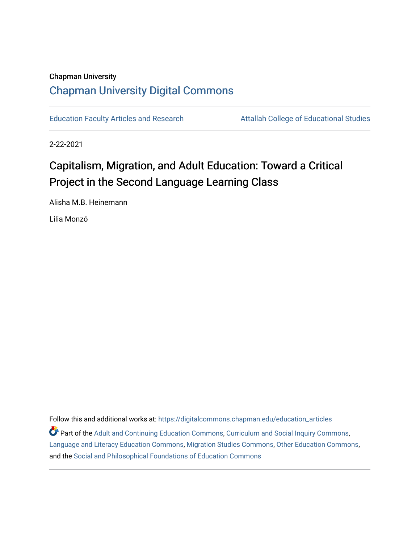## Chapman University [Chapman University Digital Commons](https://digitalcommons.chapman.edu/)

[Education Faculty Articles and Research](https://digitalcommons.chapman.edu/education_articles) **Attallah College of Educational Studies** 

2-22-2021

## Capitalism, Migration, and Adult Education: Toward a Critical Project in the Second Language Learning Class

Alisha M.B. Heinemann

Lilia Monzó

Follow this and additional works at: [https://digitalcommons.chapman.edu/education\\_articles](https://digitalcommons.chapman.edu/education_articles?utm_source=digitalcommons.chapman.edu%2Feducation_articles%2F285&utm_medium=PDF&utm_campaign=PDFCoverPages)

**P** Part of the [Adult and Continuing Education Commons,](http://network.bepress.com/hgg/discipline/1375?utm_source=digitalcommons.chapman.edu%2Feducation_articles%2F285&utm_medium=PDF&utm_campaign=PDFCoverPages) [Curriculum and Social Inquiry Commons,](http://network.bepress.com/hgg/discipline/1038?utm_source=digitalcommons.chapman.edu%2Feducation_articles%2F285&utm_medium=PDF&utm_campaign=PDFCoverPages) [Language and Literacy Education Commons,](http://network.bepress.com/hgg/discipline/1380?utm_source=digitalcommons.chapman.edu%2Feducation_articles%2F285&utm_medium=PDF&utm_campaign=PDFCoverPages) [Migration Studies Commons,](http://network.bepress.com/hgg/discipline/1394?utm_source=digitalcommons.chapman.edu%2Feducation_articles%2F285&utm_medium=PDF&utm_campaign=PDFCoverPages) [Other Education Commons,](http://network.bepress.com/hgg/discipline/811?utm_source=digitalcommons.chapman.edu%2Feducation_articles%2F285&utm_medium=PDF&utm_campaign=PDFCoverPages) and the [Social and Philosophical Foundations of Education Commons](http://network.bepress.com/hgg/discipline/799?utm_source=digitalcommons.chapman.edu%2Feducation_articles%2F285&utm_medium=PDF&utm_campaign=PDFCoverPages)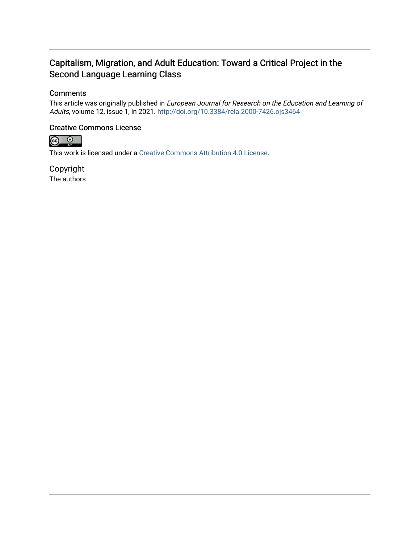### Capitalism, Migration, and Adult Education: Toward a Critical Project in the Second Language Learning Class

#### **Comments**

This article was originally published in European Journal for Research on the Education and Learning of Adults, volume 12, issue 1, in 2021. <http://doi.org/10.3384/rela.2000-7426.ojs3464>

#### Creative Commons License



This work is licensed under a [Creative Commons Attribution 4.0 License](https://creativecommons.org/licenses/by/4.0/).

Copyright The authors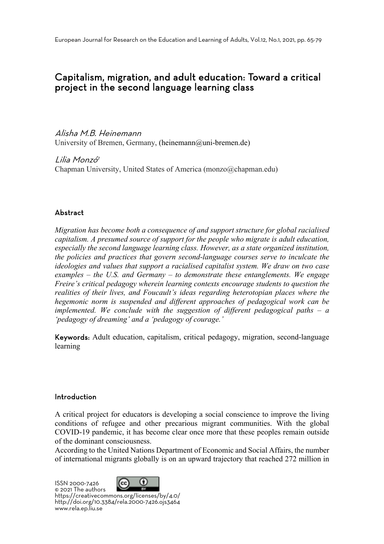## Capitalism, migration, and adult education: Toward a critical project in the second language learning class

Alisha M.B. Heinemann University of Bremen, Germany, (heinemann@uni-bremen.de)

Lilia Monzó<sup>1</sup> Chapman University, United States of America (monzo@chapman.edu)

#### Abstract

*Migration has become both a consequence of and support structure for global racialised capitalism. A presumed source of support for the people who migrate is adult education, especially the second language learning class. However, as a state organized institution, the policies and practices that govern second-language courses serve to inculcate the ideologies and values that support a racialised capitalist system. We draw on two case examples – the U.S. and Germany – to demonstrate these entanglements. We engage Freire's critical pedagogy wherein learning contexts encourage students to question the realities of their lives, and Foucault's ideas regarding heterotopian places where the hegemonic norm is suspended and different approaches of pedagogical work can be implemented. We conclude with the suggestion of different pedagogical paths – a 'pedagogy of dreaming' and a 'pedagogy of courage.'*

Keywords: Adult education, capitalism, critical pedagogy, migration, second-language learning

#### Introduction

A critical project for educators is developing a social conscience to improve the living conditions of refugee and other precarious migrant communities. With the global COVID-19 pandemic, it has become clear once more that these peoples remain outside of the dominant consciousness.

According to the United Nations Department of Economic and Social Affairs, the number of international migrants globally is on an upward trajectory that reached 272 million in

ISSN 2000-7426<br>© 2021 The authors



https://creativecommons.org/licenses/by/4.0/ http://doi.org/10.3384/rela.2000-7426.ojs3464 www.rela.ep.liu.se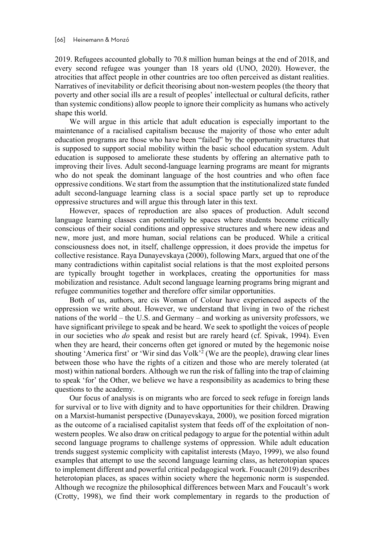2019. Refugees accounted globally to 70.8 million human beings at the end of 2018, and every second refugee was younger than 18 years old (UNO, 2020). However, the atrocities that affect people in other countries are too often perceived as distant realities. Narratives of inevitability or deficit theorising about non-western peoples (the theory that poverty and other social ills are a result of peoples' intellectual or cultural deficits, rather than systemic conditions) allow people to ignore their complicity as humans who actively shape this world.

We will argue in this article that adult education is especially important to the maintenance of a racialised capitalism because the majority of those who enter adult education programs are those who have been "failed" by the opportunity structures that is supposed to support social mobility within the basic school education system. Adult education is supposed to ameliorate these students by offering an alternative path to improving their lives. Adult second-language learning programs are meant for migrants who do not speak the dominant language of the host countries and who often face oppressive conditions. We start from the assumption that the institutionalized state funded adult second-language learning class is a social space partly set up to reproduce oppressive structures and will argue this through later in this text.

However, spaces of reproduction are also spaces of production. Adult second language learning classes can potentially be spaces where students become critically conscious of their social conditions and oppressive structures and where new ideas and new, more just, and more human, social relations can be produced. While a critical consciousness does not, in itself, challenge oppression, it does provide the impetus for collective resistance. Raya Dunayevskaya (2000), following Marx, argued that one of the many contradictions within capitalist social relations is that the most exploited persons are typically brought together in workplaces, creating the opportunities for mass mobilization and resistance. Adult second language learning programs bring migrant and refugee communities together and therefore offer similar opportunities.

Both of us, authors, are cis Woman of Colour have experienced aspects of the oppression we write about. However, we understand that living in two of the richest nations of the world – the U.S. and Germany – and working as university professors, we have significant privilege to speak and be heard. We seek to spotlight the voices of people in our societies who *do* speak and resist but are rarely heard (cf. Spivak, 1994). Even when they are heard, their concerns often get ignored or muted by the hegemonic noise shouting 'America first' or 'Wir sind das  $Volk^2$  (We are the people), drawing clear lines between those who have the rights of a citizen and those who are merely tolerated (at most) within national borders. Although we run the risk of falling into the trap of claiming to speak 'for' the Other, we believe we have a responsibility as academics to bring these questions to the academy.

Our focus of analysis is on migrants who are forced to seek refuge in foreign lands for survival or to live with dignity and to have opportunities for their children. Drawing on a Marxist-humanist perspective (Dunayevskaya, 2000), we position forced migration as the outcome of a racialised capitalist system that feeds off of the exploitation of nonwestern peoples. We also draw on critical pedagogy to argue for the potential within adult second language programs to challenge systems of oppression. While adult education trends suggest systemic complicity with capitalist interests (Mayo, 1999), we also found examples that attempt to use the second language learning class, as heterotopian spaces to implement different and powerful critical pedagogical work. Foucault (2019) describes heterotopian places, as spaces within society where the hegemonic norm is suspended. Although we recognize the philosophical differences between Marx and Foucault's work (Crotty, 1998), we find their work complementary in regards to the production of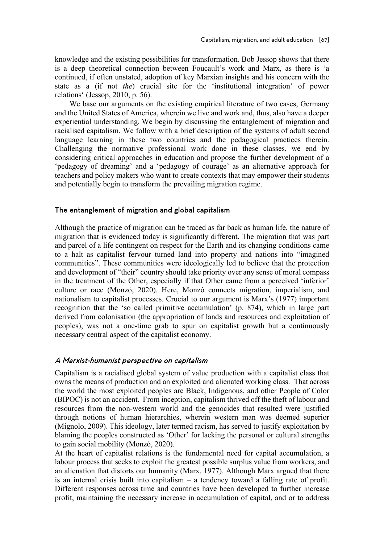knowledge and the existing possibilities for transformation. Bob Jessop shows that there is a deep theoretical connection between Foucault's work and Marx, as there is 'a continued, if often unstated, adoption of key Marxian insights and his concern with the state as a (if not *the*) crucial site for the 'institutional integration' of power relations' (Jessop, 2010, p. 56).

We base our arguments on the existing empirical literature of two cases, Germany and the United States of America, wherein we live and work and, thus, also have a deeper experiential understanding. We begin by discussing the entanglement of migration and racialised capitalism. We follow with a brief description of the systems of adult second language learning in these two countries and the pedagogical practices therein. Challenging the normative professional work done in these classes, we end by considering critical approaches in education and propose the further development of a 'pedagogy of dreaming' and a 'pedagogy of courage' as an alternative approach for teachers and policy makers who want to create contexts that may empower their students and potentially begin to transform the prevailing migration regime.

#### The entanglement of migration and global capitalism

Although the practice of migration can be traced as far back as human life, the nature of migration that is evidenced today is significantly different. The migration that was part and parcel of a life contingent on respect for the Earth and its changing conditions came to a halt as capitalist fervour turned land into property and nations into "imagined communities". These communities were ideologically led to believe that the protection and development of "their" country should take priority over any sense of moral compass in the treatment of the Other, especially if that Other came from a perceived 'inferior' culture or race (Monzó, 2020). Here, Monzó connects migration, imperialism, and nationalism to capitalist processes. Crucial to our argument is Marx's (1977) important recognition that the 'so called primitive accumulation' (p. 874), which in large part derived from colonisation (the appropriation of lands and resources and exploitation of peoples), was not a one-time grab to spur on capitalist growth but a continuously necessary central aspect of the capitalist economy.

#### A Marxist-humanist perspective on capitalism

Capitalism is a racialised global system of value production with a capitalist class that owns the means of production and an exploited and alienated working class. That across the world the most exploited peoples are Black, Indigenous, and other People of Color (BIPOC) is not an accident. From inception, capitalism thrived off the theft of labour and resources from the non-western world and the genocides that resulted were justified through notions of human hierarchies, wherein western man was deemed superior (Mignolo, 2009). This ideology, later termed racism, has served to justify exploitation by blaming the peoples constructed as 'Other' for lacking the personal or cultural strengths to gain social mobility (Monzó, 2020).

At the heart of capitalist relations is the fundamental need for capital accumulation, a labour process that seeks to exploit the greatest possible surplus value from workers, and an alienation that distorts our humanity (Marx, 1977). Although Marx argued that there is an internal crisis built into capitalism – a tendency toward a falling rate of profit. Different responses across time and countries have been developed to further increase profit, maintaining the necessary increase in accumulation of capital, and or to address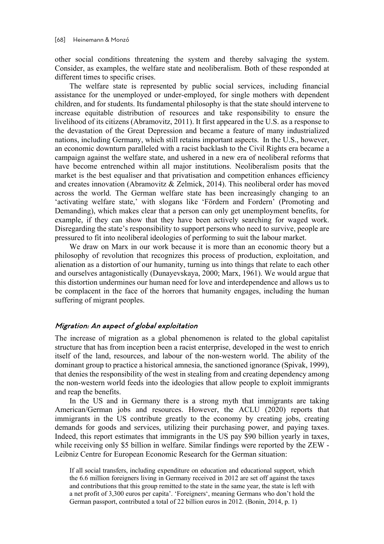other social conditions threatening the system and thereby salvaging the system. Consider, as examples, the welfare state and neoliberalism. Both of these responded at different times to specific crises.

The welfare state is represented by public social services, including financial assistance for the unemployed or under-employed, for single mothers with dependent children, and for students. Its fundamental philosophy is that the state should intervene to increase equitable distribution of resources and take responsibility to ensure the livelihood of its citizens (Abramovitz, 2011). It first appeared in the U.S. as a response to the devastation of the Great Depression and became a feature of many industrialized nations, including Germany, which still retains important aspects. In the U.S., however, an economic downturn paralleled with a racist backlash to the Civil Rights era became a campaign against the welfare state, and ushered in a new era of neoliberal reforms that have become entrenched within all major institutions. Neoliberalism posits that the market is the best equaliser and that privatisation and competition enhances efficiency and creates innovation (Abramovitz & Zelmick, 2014). This neoliberal order has moved across the world. The German welfare state has been increasingly changing to an 'activating welfare state,' with slogans like 'Fördern and Fordern' (Promoting and Demanding), which makes clear that a person can only get unemployment benefits, for example, if they can show that they have been actively searching for waged work. Disregarding the state's responsibility to support persons who need to survive, people are pressured to fit into neoliberal ideologies of performing to suit the labour market.

We draw on Marx in our work because it is more than an economic theory but a philosophy of revolution that recognizes this process of production, exploitation, and alienation as a distortion of our humanity, turning us into things that relate to each other and ourselves antagonistically (Dunayevskaya, 2000; Marx, 1961). We would argue that this distortion undermines our human need for love and interdependence and allows us to be complacent in the face of the horrors that humanity engages, including the human suffering of migrant peoples.

#### Migration: An aspect of global exploitation

The increase of migration as a global phenomenon is related to the global capitalist structure that has from inception been a racist enterprise, developed in the west to enrich itself of the land, resources, and labour of the non-western world. The ability of the dominant group to practice a historical amnesia, the sanctioned ignorance (Spivak, 1999), that denies the responsibility of the west in stealing from and creating dependency among the non-western world feeds into the ideologies that allow people to exploit immigrants and reap the benefits.

In the US and in Germany there is a strong myth that immigrants are taking American/German jobs and resources. However, the ACLU (2020) reports that immigrants in the US contribute greatly to the economy by creating jobs, creating demands for goods and services, utilizing their purchasing power, and paying taxes. Indeed, this report estimates that immigrants in the US pay \$90 billion yearly in taxes, while receiving only \$5 billion in welfare. Similar findings were reported by the ZEW - Leibniz Centre for European Economic Research for the German situation:

If all social transfers, including expenditure on education and educational support, which the 6.6 million foreigners living in Germany received in 2012 are set off against the taxes and contributions that this group remitted to the state in the same year, the state is left with a net profit of 3,300 euros per capita'. 'Foreigners', meaning Germans who don't hold the German passport, contributed a total of 22 billion euros in 2012. (Bonin, 2014, p. 1)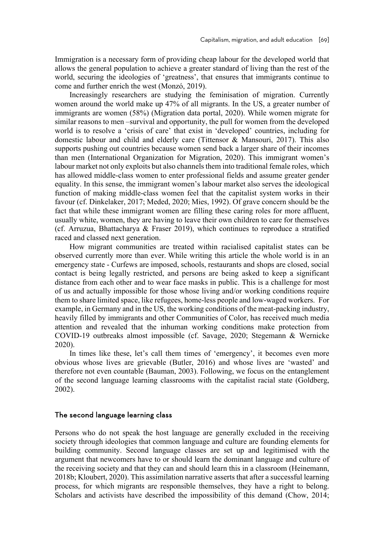Immigration is a necessary form of providing cheap labour for the developed world that allows the general population to achieve a greater standard of living than the rest of the world, securing the ideologies of 'greatness', that ensures that immigrants continue to come and further enrich the west (Monzó, 2019).

Increasingly researchers are studying the feminisation of migration. Currently women around the world make up 47% of all migrants. In the US, a greater number of immigrants are women (58%) (Migration data portal, 2020). While women migrate for similar reasons to men –survival and opportunity, the pull for women from the developed world is to resolve a 'crisis of care' that exist in 'developed' countries, including for domestic labour and child and elderly care (Tittensor & Mansouri, 2017). This also supports pushing out countries because women send back a larger share of their incomes than men (International Organization for Migration, 2020). This immigrant women's labour market not only exploits but also channels them into traditional female roles, which has allowed middle-class women to enter professional fields and assume greater gender equality. In this sense, the immigrant women's labour market also serves the ideological function of making middle-class women feel that the capitalist system works in their favour (cf. Dinkelaker, 2017; Meded, 2020; Mies, 1992). Of grave concern should be the fact that while these immigrant women are filling these caring roles for more affluent, usually white, women, they are having to leave their own children to care for themselves (cf. Arruzua, Bhattacharya & Fraser 2019), which continues to reproduce a stratified raced and classed next generation.

How migrant communities are treated within racialised capitalist states can be observed currently more than ever. While writing this article the whole world is in an emergency state - Curfews are imposed, schools, restaurants and shops are closed, social contact is being legally restricted, and persons are being asked to keep a significant distance from each other and to wear face masks in public. This is a challenge for most of us and actually impossible for those whose living and/or working conditions require them to share limited space, like refugees, home-less people and low-waged workers. For example, in Germany and in the US, the working conditions of the meat-packing industry, heavily filled by immigrants and other Communities of Color, has received much media attention and revealed that the inhuman working conditions make protection from COVID-19 outbreaks almost impossible (cf. Savage, 2020; Stegemann & Wernicke 2020).

In times like these, let's call them times of 'emergency', it becomes even more obvious whose lives are grievable (Butler, 2016) and whose lives are 'wasted' and therefore not even countable (Bauman, 2003). Following, we focus on the entanglement of the second language learning classrooms with the capitalist racial state (Goldberg, 2002).

#### The second language learning class

Persons who do not speak the host language are generally excluded in the receiving society through ideologies that common language and culture are founding elements for building community. Second language classes are set up and legitimised with the argument that newcomers have to or should learn the dominant language and culture of the receiving society and that they can and should learn this in a classroom (Heinemann, 2018b; Kloubert, 2020). This assimilation narrative asserts that after a successful learning process, for which migrants are responsible themselves, they have a right to belong. Scholars and activists have described the impossibility of this demand (Chow, 2014;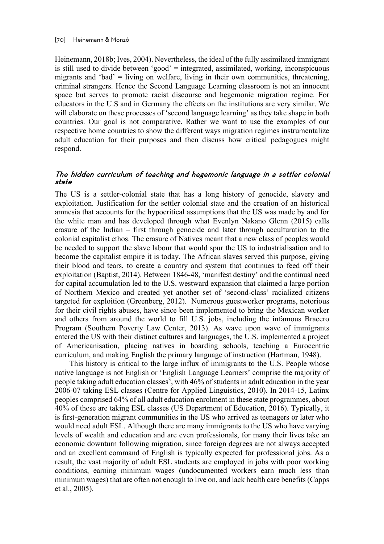Heinemann, 2018b; Ives, 2004). Nevertheless, the ideal of the fully assimilated immigrant is still used to divide between 'good' = integrated, assimilated, working, inconspicuous migrants and 'bad' = living on welfare, living in their own communities, threatening, criminal strangers. Hence the Second Language Learning classroom is not an innocent space but serves to promote racist discourse and hegemonic migration regime. For educators in the U.S and in Germany the effects on the institutions are very similar. We will elaborate on these processes of 'second language learning' as they take shape in both countries. Our goal is not comparative. Rather we want to use the examples of our respective home countries to show the different ways migration regimes instrumentalize adult education for their purposes and then discuss how critical pedagogues might respond.

#### The hidden curriculum of teaching and hegemonic language in a settler colonial state

The US is a settler-colonial state that has a long history of genocide, slavery and exploitation. Justification for the settler colonial state and the creation of an historical amnesia that accounts for the hypocritical assumptions that the US was made by and for the white man and has developed through what Evenlyn Nakano Glenn (2015) calls erasure of the Indian – first through genocide and later through acculturation to the colonial capitalist ethos. The erasure of Natives meant that a new class of peoples would be needed to support the slave labour that would spur the US to industrialisation and to become the capitalist empire it is today. The African slaves served this purpose, giving their blood and tears, to create a country and system that continues to feed off their exploitation (Baptist, 2014). Between 1846-48, 'manifest destiny' and the continual need for capital accumulation led to the U.S. westward expansion that claimed a large portion of Northern Mexico and created yet another set of 'second-class' racialized citizens targeted for exploition (Greenberg, 2012). Numerous guestworker programs, notorious for their civil rights abuses, have since been implemented to bring the Mexican worker and others from around the world to fill U.S. jobs, including the infamous Bracero Program (Southern Poverty Law Center, 2013). As wave upon wave of immigrants entered the US with their distinct cultures and languages, the U.S. implemented a project of Americanisation, placing natives in boarding schools, teaching a Eurocentric curriculum, and making English the primary language of instruction (Hartman, 1948).

This history is critical to the large influx of immigrants to the U.S. People whose native language is not English or 'English Language Learners' comprise the majority of people taking adult education classes<sup>3</sup>, with 46% of students in adult education in the year 2006-07 taking ESL classes (Centre for Applied Linguistics, 2010). In 2014-15, Latinx peoples comprised 64% of all adult education enrolment in these state programmes, about 40% of these are taking ESL classes (US Department of Education, 2016). Typically, it is first-generation migrant communities in the US who arrived as teenagers or later who would need adult ESL. Although there are many immigrants to the US who have varying levels of wealth and education and are even professionals, for many their lives take an economic downturn following migration, since foreign degrees are not always accepted and an excellent command of English is typically expected for professional jobs. As a result, the vast majority of adult ESL students are employed in jobs with poor working conditions, earning minimum wages (undocumented workers earn much less than minimum wages) that are often not enough to live on, and lack health care benefits (Capps et al., 2005).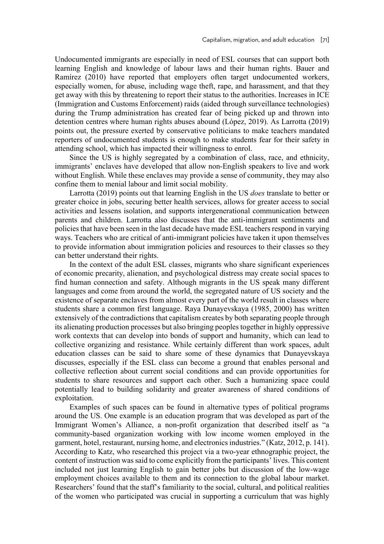Undocumented immigrants are especially in need of ESL courses that can support both learning English and knowledge of labour laws and their human rights. Bauer and Ramírez (2010) have reported that employers often target undocumented workers, especially women, for abuse, including wage theft, rape, and harassment, and that they get away with this by threatening to report their status to the authorities. Increases in ICE (Immigration and Customs Enforcement) raids (aided through surveillance technologies) during the Trump administration has created fear of being picked up and thrown into detention centres where human rights abuses abound (López, 2019). As Larrotta (2019) points out, the pressure exerted by conservative politicians to make teachers mandated reporters of undocumented students is enough to make students fear for their safety in attending school, which has impacted their willingness to enrol.

Since the US is highly segregated by a combination of class, race, and ethnicity, immigrants' enclaves have developed that allow non-English speakers to live and work without English. While these enclaves may provide a sense of community, they may also confine them to menial labour and limit social mobility.

Larrotta (2019) points out that learning English in the US *does* translate to better or greater choice in jobs, securing better health services, allows for greater access to social activities and lessens isolation, and supports intergenerational communication between parents and children. Larrotta also discusses that the anti-immigrant sentiments and policies that have been seen in the last decade have made ESL teachers respond in varying ways. Teachers who are critical of anti-immigrant policies have taken it upon themselves to provide information about immigration policies and resources to their classes so they can better understand their rights.

In the context of the adult ESL classes, migrants who share significant experiences of economic precarity, alienation, and psychological distress may create social spaces to find human connection and safety. Although migrants in the US speak many different languages and come from around the world, the segregated nature of US society and the existence of separate enclaves from almost every part of the world result in classes where students share a common first language. Raya Dunayevskaya (1985, 2000) has written extensively of the contradictions that capitalism creates by both separating people through its alienating production processes but also bringing peoples together in highly oppressive work contexts that can develop into bonds of support and humanity, which can lead to collective organizing and resistance. While certainly different than work spaces, adult education classes can be said to share some of these dynamics that Dunayevskaya discusses, especially if the ESL class can become a ground that enables personal and collective reflection about current social conditions and can provide opportunities for students to share resources and support each other. Such a humanizing space could potentially lead to building solidarity and greater awareness of shared conditions of exploitation.

Examples of such spaces can be found in alternative types of political programs around the US. One example is an education program that was developed as part of the Immigrant Women's Alliance, a non-profit organization that described itself as "a community-based organization working with low income women employed in the garment, hotel, restaurant, nursing home, and electronics industries." (Katz, 2012, p. 141). According to Katz, who researched this project via a two-year ethnographic project, the content of instruction was said to come explicitly from the participants' lives. This content included not just learning English to gain better jobs but discussion of the low-wage employment choices available to them and its connection to the global labour market. Researchers' found that the staff's familiarity to the social, cultural, and political realities of the women who participated was crucial in supporting a curriculum that was highly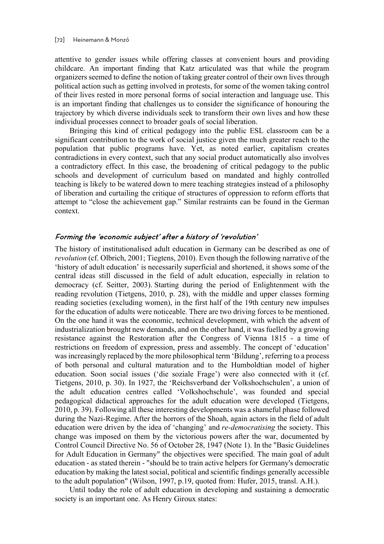attentive to gender issues while offering classes at convenient hours and providing childcare. An important finding that Katz articulated was that while the program organizers seemed to define the notion of taking greater control of their own lives through political action such as getting involved in protests, for some of the women taking control of their lives rested in more personal forms of social interaction and language use. This is an important finding that challenges us to consider the significance of honouring the trajectory by which diverse individuals seek to transform their own lives and how these individual processes connect to broader goals of social liberation.

Bringing this kind of critical pedagogy into the public ESL classroom can be a significant contribution to the work of social justice given the much greater reach to the population that public programs have. Yet, as noted earlier, capitalism creates contradictions in every context, such that any social product automatically also involves a contradictory effect. In this case, the broadening of critical pedagogy to the public schools and development of curriculum based on mandated and highly controlled teaching is likely to be watered down to mere teaching strategies instead of a philosophy of liberation and curtailing the critique of structures of oppression to reform efforts that attempt to "close the achievement gap." Similar restraints can be found in the German context.

#### Forming the 'economic subject' after a history of 'revolution'

The history of institutionalised adult education in Germany can be described as one of *revolution* (cf. Olbrich, 2001; Tiegtens, 2010). Even though the following narrative of the 'history of adult education' is necessarily superficial and shortened, it shows some of the central ideas still discussed in the field of adult education, especially in relation to democracy (cf. Seitter, 2003). Starting during the period of Enlightenment with the reading revolution (Tietgens, 2010, p. 28), with the middle and upper classes forming reading societies (excluding women), in the first half of the 19th century new impulses for the education of adults were noticeable. There are two driving forces to be mentioned. On the one hand it was the economic, technical development, with which the advent of industrialization brought new demands, and on the other hand, it was fuelled by a growing resistance against the Restoration after the Congress of Vienna 1815 - a time of restrictions on freedom of expression, press and assembly. The concept of 'education' was increasingly replaced by the more philosophical term 'Bildung', referring to a process of both personal and cultural maturation and to the Humboldtian model of higher education. Soon social issues ('die soziale Frage') were also connected with it (cf. Tietgens, 2010, p. 30). In 1927, the 'Reichsverband der Volkshochschulen', a union of the adult education centres called 'Volkshochschule', was founded and special pedagogical didactical approaches for the adult education were developed (Tietgens, 2010, p. 39). Following all these interesting developments was a shameful phase followed during the Nazi-Regime. After the horrors of the Shoah, again actors in the field of adult education were driven by the idea of 'changing' and *re-democratising* the society. This change was imposed on them by the victorious powers after the war, documented by Control Council Directive No. 56 of October 28, 1947 (Note 1). In the "Basic Guidelines for Adult Education in Germany" the objectives were specified. The main goal of adult education - as stated therein - "should be to train active helpers for Germany's democratic education by making the latest social, political and scientific findings generally accessible to the adult population" (Wilson, 1997, p.19, quoted from: Hufer, 2015, transl. A.H.).

Until today the role of adult education in developing and sustaining a democratic society is an important one. As Henry Giroux states: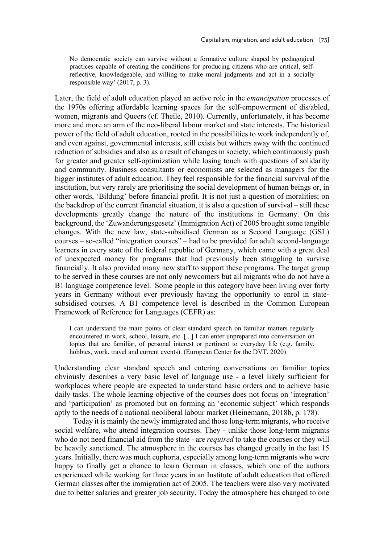No democratic society can survive without a formative culture shaped by pedagogical practices capable of creating the conditions for producing citizens who are critical, selfreflective, knowledgeable, and willing to make moral judgments and act in a socially responsible way' (2017, p. 3).

Later, the field of adult education played an active role in the *emancipation* processes of the 1970s offering affordable learning spaces for the self-empowerment of dis/abled, women, migrants and Queers (cf. Theile, 2010). Currently, unfortunately, it has become more and more an arm of the neo-liberal labour market and state interests. The historical power of the field of adult education, rooted in the possibilities to work independently of, and even against, governmental interests, still exists but withers away with the continued reduction of subsidies and also as a result of changes in society, which continuously push for greater and greater self-optimizstion while losing touch with questions of solidarity and community. Business consultants or economists are selected as managers for the bigger institutes of adult education. They feel responsible for the financial survival of the institution, but very rarely are prioritising the social development of human beings or, in other words, 'Bildung' before financial profit. It is not just a question of moralities; on the backdrop of the current financial situation, it is also a question of survival – still these developments greatly change the nature of the institutions in Germany. On this background, the 'Zuwanderungsgesetz' (Immigration Act) of 2005 brought some tangible changes. With the new law, state-subsidised German as a Second Language (GSL) courses – so-called "integration courses" – had to be provided for adult second-language learners in every state of the federal republic of Germany, which came with a great deal of unexpected money for programs that had previously been struggling to survive financially. It also provided many new staff to support these programs. The target group to be served in these courses are not only newcomers but all migrants who do not have a B1 language competence level. Some people in this category have been living over forty years in Germany without ever previously having the opportunity to enrol in statesubsidised courses. A B1 competence level is described in the Common European Framework of Reference for Languages (CEFR) as:

I can understand the main points of clear standard speech on familiar matters regularly encountered in work, school, leisure, etc. [...] I can enter unprepared into conversation on topics that are familiar, of personal interest or pertinent to everyday life (e.g. family, hobbies, work, travel and current events). (European Center for the DVT, 2020)

Understanding clear standard speech and entering conversations on familiar topics obviously describes a very basic level of language use - a level likely sufficient for workplaces where people are expected to understand basic orders and to achieve basic daily tasks. The whole learning objective of the courses does not focus on 'integration' and 'participation' as promoted but on forming an 'economic subject' which responds aptly to the needs of a national neoliberal labour market (Heinemann, 2018b, p. 178).

Today it is mainly the newly immigrated and those long-term migrants, who receive social welfare, who attend integration courses. They - unlike those long-term migrants who do not need financial aid from the state - are *required* to take the courses or they will be heavily sanctioned. The atmosphere in the courses has changed greatly in the last 15 years. Initially, there was much euphoria, especially among long-term migrants who were happy to finally get a chance to learn German in classes, which one of the authors experienced while working for three years in an Institute of adult education that offered German classes after the immigration act of 2005. The teachers were also very motivated due to better salaries and greater job security. Today the atmosphere has changed to one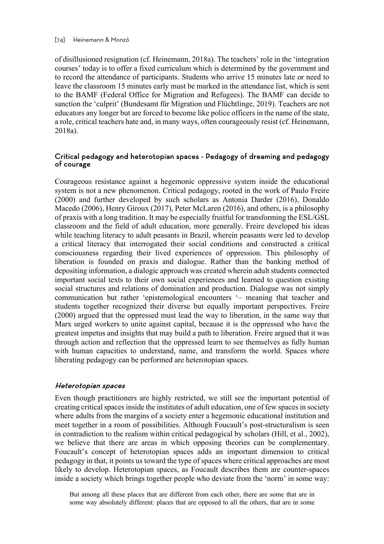of disillusioned resignation (cf. Heinemann, 2018a). The teachers' role in the 'integration courses' today is to offer a fixed curriculum which is determined by the government and to record the attendance of participants. Students who arrive 15 minutes late or need to leave the classroom 15 minutes early must be marked in the attendance list, which is sent to the BAMF (Federal Office for Migration and Refugees). The BAMF can decide to sanction the 'culprit' (Bundesamt für Migration und Flüchtlinge, 2019). Teachers are not educators any longer but are forced to become like police officers in the name of the state, a role, critical teachers hate and, in many ways, often courageously resist (cf. Heinemann, 2018a).

# Critical pedagogy and heterotopian spaces - Pedagogy of dreaming and pedagogy<br>of courage

Courageous resistance against a hegemonic oppressive system inside the educational system is not a new phenomenon. Critical pedagogy, rooted in the work of Paulo Freire (2000) and further developed by such scholars as Antonia Darder (2016), Donaldo Macedo (2006), Henry Giroux (2017), Peter McLaren (2016), and others, is a philosophy of praxis with a long tradition. It may be especially fruitful for transforming the ESL/GSL classroom and the field of adult education, more generally. Freire developed his ideas while teaching literacy to adult peasants in Brazil, wherein peasants were led to develop a critical literacy that interrogated their social conditions and constructed a critical consciousness regarding their lived experiences of oppression. This philosophy of liberation is founded on praxis and dialogue. Rather than the banking method of depositing information, a dialogic approach was created wherein adult students connected important social texts to their own social experiences and learned to question existing social structures and relations of domination and production. Dialogue was not simply communication but rather 'epistemological encounters '– meaning that teacher and students together recognized their diverse but equally important perspectives. Freire (2000) argued that the oppressed must lead the way to liberation, in the same way that Marx urged workers to unite against capital, because it is the oppressed who have the greatest impetus and insights that may build a path to liberation. Freire argued that it was through action and reflection that the oppressed learn to see themselves as fully human with human capacities to understand, name, and transform the world. Spaces where liberating pedagogy can be performed are heterotopian spaces.

#### Heterotopian spaces

Even though practitioners are highly restricted, we still see the important potential of creating critical spaces inside the institutes of adult education, one of few spaces in society where adults from the margins of a society enter a hegemonic educational institution and meet together in a room of possibilities. Although Foucault's post-structuralism is seen in contradiction to the realism within critical pedagogical by scholars (Hill, et al., 2002), we believe that there are areas in which opposing theories can be complementary. Foucault's concept of heterotopian spaces adds an important dimension to critical pedagogy in that, it points us toward the type of spaces where critical approaches are most likely to develop. Heterotopian spaces, as Foucault describes them are counter-spaces inside a society which brings together people who deviate from the 'norm' in some way:

But among all these places that are different from each other, there are some that are in some way absolutely different: places that are opposed to all the others, that are in some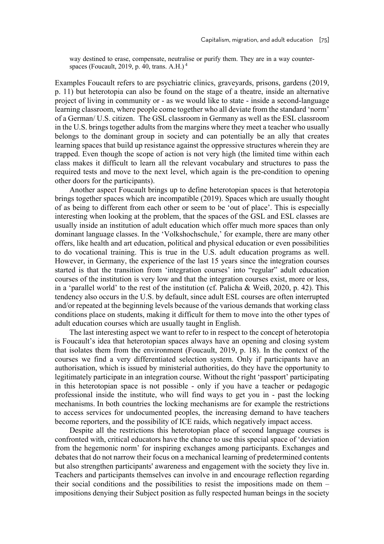way destined to erase, compensate, neutralise or purify them. They are in a way counterspaces (Foucault, 2019, p. 40, trans. A.H.) $<sup>4</sup>$ </sup>

Examples Foucault refers to are psychiatric clinics, graveyards, prisons, gardens (2019, p. 11) but heterotopia can also be found on the stage of a theatre, inside an alternative project of living in community or - as we would like to state - inside a second-language learning classroom, where people come together who all deviate from the standard 'norm' of a German/ U.S. citizen. The GSL classroom in Germany as well as the ESL classroom in the U.S. brings together adults from the margins where they meet a teacher who usually belongs to the dominant group in society and can potentially be an ally that creates learning spaces that build up resistance against the oppressive structures wherein they are trapped. Even though the scope of action is not very high (the limited time within each class makes it difficult to learn all the relevant vocabulary and structures to pass the required tests and move to the next level, which again is the pre-condition to opening other doors for the participants).

Another aspect Foucault brings up to define heterotopian spaces is that heterotopia brings together spaces which are incompatible (2019). Spaces which are usually thought of as being to different from each other or seem to be 'out of place'. This is especially interesting when looking at the problem, that the spaces of the GSL and ESL classes are usually inside an institution of adult education which offer much more spaces than only dominant language classes. In the 'Volkshochschule,' for example, there are many other offers, like health and art education, political and physical education or even possibilities to do vocational training. This is true in the U.S. adult education programs as well. However, in Germany, the experience of the last 15 years since the integration courses started is that the transition from 'integration courses' into "regular" adult education courses of the institution is very low and that the integration courses exist, more or less, in a 'parallel world' to the rest of the institution (cf. Palicha & Weiß, 2020, p. 42). This tendency also occurs in the U.S. by default, since adult ESL courses are often interrupted and/or repeated at the beginning levels because of the various demands that working class conditions place on students, making it difficult for them to move into the other types of adult education courses which are usually taught in English.

The last interesting aspect we want to refer to in respect to the concept of heterotopia is Foucault's idea that heterotopian spaces always have an opening and closing system that isolates them from the environment (Foucault, 2019, p. 18). In the context of the courses we find a very differentiated selection system. Only if participants have an authorisation, which is issued by ministerial authorities, do they have the opportunity to legitimately participate in an integration course. Without the right 'passport' participating in this heterotopian space is not possible - only if you have a teacher or pedagogic professional inside the institute, who will find ways to get you in - past the locking mechanisms. In both countries the locking mechanisms are for example the restrictions to access services for undocumented peoples, the increasing demand to have teachers become reporters, and the possibility of ICE raids, which negatively impact access.

Despite all the restrictions this heterotopian place of second language courses is confronted with, critical educators have the chance to use this special space of 'deviation from the hegemonic norm' for inspiring exchanges among participants. Exchanges and debates that do not narrow their focus on a mechanical learning of predetermined contents but also strengthen participants' awareness and engagement with the society they live in. Teachers and participants themselves can involve in and encourage reflection regarding their social conditions and the possibilities to resist the impositions made on them – impositions denying their Subject position as fully respected human beings in the society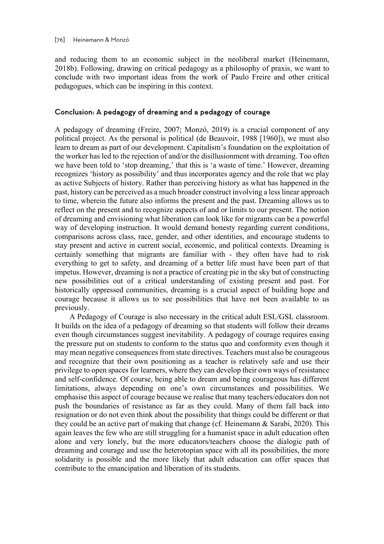and reducing them to an economic subject in the neoliberal market (Heinemann, 2018b). Following, drawing on critical pedagogy as a philosophy of praxis, we want to conclude with two important ideas from the work of Paulo Freire and other critical pedagogues, which can be inspiring in this context.

#### Conclusion: A pedagogy of dreaming and a pedagogy of courage

A pedagogy of dreaming (Freire, 2007; Monzó, 2019) is a crucial component of any political project. As the personal is political (de Beauvoir, 1988 [1960]), we must also learn to dream as part of our development. Capitalism's foundation on the exploitation of the worker has led to the rejection of and/or the disillusionment with dreaming. Too often we have been told to 'stop dreaming,' that this is 'a waste of time.' However, dreaming recognizes 'history as possibility' and thus incorporates agency and the role that we play as active Subjects of history. Rather than perceiving history as what has happened in the past, history can be perceived as a much broader construct involving a less linear approach to time, wherein the future also informs the present and the past. Dreaming allows us to reflect on the present and to recognize aspects of and or limits to our present. The notion of dreaming and envisioning what liberation can look like for migrants can be a powerful way of developing instruction. It would demand honesty regarding current conditions, comparisons across class, race, gender, and other identities, and encourage students to stay present and active in current social, economic, and political contexts. Dreaming is certainly something that migrants are familiar with - they often have had to risk everything to get to safety, and dreaming of a better life must have been part of that impetus. However, dreaming is not a practice of creating pie in the sky but of constructing new possibilities out of a critical understanding of existing present and past. For historically oppressed communities, dreaming is a crucial aspect of building hope and courage because it allows us to see possibilities that have not been available to us previously.

A Pedagogy of Courage is also necessary in the critical adult ESL/GSL classroom. It builds on the idea of a pedagogy of dreaming so that students will follow their dreams even though circumstances suggest inevitability. A pedagogy of courage requires easing the pressure put on students to conform to the status quo and conformity even though it may mean negative consequences from state directives. Teachers must also be courageous and recognize that their own positioning as a teacher is relatively safe and use their privilege to open spaces for learners, where they can develop their own ways of resistance and self-confidence. Of course, being able to dream and being courageous has different limitations, always depending on one's own circumstances and possibilities. We emphasise this aspect of courage because we realise that many teachers/educators don not push the boundaries of resistance as far as they could. Many of them fall back into resignation or do not even think about the possibility that things could be different or that they could be an active part of making that change (cf. Heinemann & Sarabi, 2020). This again leaves the few who are still struggling for a humanist space in adult education often alone and very lonely, but the more educators/teachers choose the dialogic path of dreaming and courage and use the heterotopian space with all its possibilities, the more solidarity is possible and the more likely that adult education can offer spaces that contribute to the emancipation and liberation of its students.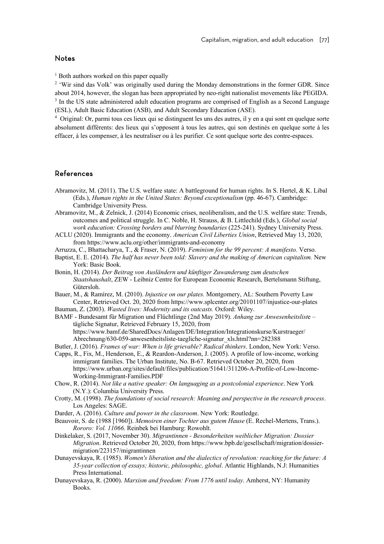#### Notes

 $<sup>1</sup>$  Both authors worked on this paper equally</sup>

<sup>2</sup> 'Wir sind das Volk' was originally used during the Monday demonstrations in the former GDR. Since about 2014, however, the slogan has been appropriated by neo-right nationalist movements like PEGIDA. <sup>3</sup> In the US state administered adult education programs are comprised of English as a Second Language (ESL), Adult Basic Education (ASB), and Adult Secondary Education (ASE).

4 Original: Or, parmi tous ces lieux qui se distinguent les uns des autres, il y en a qui sont en quelque sorte absolument différents: des lieux qui s'opposent à tous les autres, qui son destinés en quelque sorte à les effacer, à les compenser, à les neutraliser ou à les purifier. Ce sont quelque sorte des contre-espaces.

#### References

- Abramovitz, M. (2011). The U.S. welfare state: A battleground for human rights. In S. Hertel, & K. Libal (Eds.), *Human rights in the United States: Beyond exceptionalism* (pp. 46-67). Cambridge: Cambridge University Press.
- Abramovitz, M., & Zelnick, J. (2014) Economic crises, neoliberalism, and the U.S. welfare state: Trends, outcomes and political struggle. In C. Noble, H. Strauss, & B. Littlechild (Eds.), *Global social work education: Crossing borders and blurring boundaries* (225-241). Sydney University Press.
- ACLU (2020). Immigrants and the economy. *American Civil Liberties Union*, Retrieved May 13, 2020, from https://www.aclu.org/other/immigrants-and-economy
- Arruzza, C., Bhattacharya, T., & Fraser, N. (2019). *Feminism for the 99 percent: A manifesto.* Verso.
- Baptist, E. E. (2014). *The half has never been told: Slavery and the making of American capitalism.* New York: Basic Book.
- Bonin, H. (2014). *Der Beitrag von Ausländern und künftiger Zuwanderung zum deutschen Staatshaushalt*, ZEW - Leibniz Centre for European Economic Research, Bertelsmann Stiftung, Gütersloh.

Bauer, M., & Ramírez, M. (2010). *Injustice on our plates.* Montgomery, AL: Southern Poverty Law Center, Retrieved Oct. 20, 2020 from https://www.splcenter.org/20101107/injustice-our-plates Bauman, Z. (2003). *Wasted lives: Modernity and its outcasts.* Oxford: Wiley.

BAMF - Bundesamt für Migration und Flüchtlinge (2nd May 2019). *Anhang zur Anwesenheitslist*e –

tägliche Signatur, Retrieved February 15, 2020, from https://www.bamf.de/SharedDocs/Anlagen/DE/Integration/Integrationskurse/Kurstraeger/ Abrechnung/630-059-anwesenheitsliste-taegliche-signatur\_xls.html?nn=282388

Butler, J. (2016). *Frames of war: When is life grievable? Radical thinkers*. London, New York: Verso.

- Capps, R., Fix, M., Henderson, E., & Reardon-Anderson, J. (2005). A profile of low-income, working immigrant families. The Urban Institute, No. B-67. Retrieved October 20, 2020, from https://www.urban.org/sites/default/files/publication/51641/311206-A-Profile-of-Low-Income-Working-Immigrant-Families.PDF
- Chow, R. (2014). *Not like a native speaker: On languaging as a postcolonial experience*. New York (N.Y.): Columbia University Press.
- Crotty, M. (1998). *The foundations of social research: Meaning and perspective in the research process*. Los Angeles: SAGE.
- Darder, A. (2016). *Culture and power in the classroom*. New York: Routledge.

Beauvoir, S. de (1988 [1960]). *Memoiren einer Tochter aus gutem Hause* (E. Rechel-Mertens, Trans.). *Rororo: Vol. 11066*. Reinbek bei Hamburg: Rowohlt.

- Dinkelaker, S. (2017, November 30). *Migrantinnen - Besonderheiten weiblicher Migration: Dossier Migration*. Retrieved October 20, 2020, from https://www.bpb.de/gesellschaft/migration/dossiermigration/223157/migrantinnen
- Dunayevskaya, R. (1985). *Women's liberation and the dialectics of revolution: reaching for the future: A 35-year collection of essays; historic, philosophic, global*. Atlantic Highlands, N.J: Humanities Press International.
- Dunayevskaya, R. (2000). *Marxism and freedom: From 1776 until today*. Amherst, NY: Humanity Books.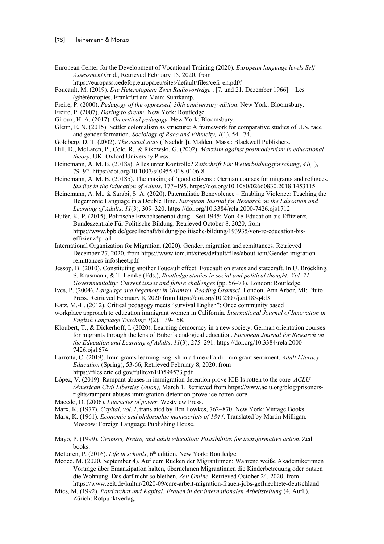European Center for the Development of Vocational Training (2020). *European language levels Self Assessment* Grid., Retrieved February 15, 2020, from

https://europass.cedefop.europa.eu/sites/default/files/cefr-en.pdf#

- Foucault, M. (2019). *Die Heterotopien: Zwei Radiovorträge* ; [7. und 21. Dezember 1966] = Les @hétérotopies. Frankfurt am Main: Suhrkamp.
- Freire, P. (2000). *Pedagogy of the oppressed, 30th anniversary edition*. New York: Bloomsbury.
- Freire, P. (2007). *Daring to dream.* New York: Routledge.
- Giroux, H. A. (2017). *On critical pedagogy.* New York: Bloomsbury.
- Glenn, E. N. (2015). Settler colonialism as structure: A framework for comparative studies of U.S. race and gender formation. *Sociology of Race and Ethnicity, 1*(1), 54 –74.
- Goldberg, D. T. (2002). *The racial state* ([Nachdr.]). Malden, Mass.: Blackwell Publishers.
- Hill, D., McLaren, P., Cole, R., & Rikowski, G. (2002). *Marxism against postmodernism in educational theory*. UK: Oxford University Press.
- Heinemann, A. M. B. (2018a). Alles unter Kontrolle? *Zeitschrift Für Weiterbildungsforschung*, *41*(1), 79–92. https://doi.org/10.1007/s40955-018-0106-8
- Heinemann, A. M. B. (2018b). The making of 'good citizens': German courses for migrants and refugees. *Studies in the Education of Adults*, 177–195. https://doi.org/10.1080/02660830.2018.1453115
- Heinemann, A. M., & Sarabi, S. A. (2020). Paternalistic Benevolence Enabling Violence: Teaching the Hegemonic Language in a Double Bind. *European Journal for Research on the Education and Learning of Adults*, *11*(3), 309–320. https://doi.org/10.3384/rela.2000-7426.ojs1712
- Hufer, K.-P. (2015). Politische Erwachsenenbildung Seit 1945: Von Re-Education bis Effizienz. Bundeszentrale Für Politische Bildung. Retrieved October 8, 2020, from https://www.bpb.de/gesellschaft/bildung/politische-bildung/193935/von-re-education-biseffizienz?p=all
- International Organization for Migration. (2020). Gender, migration and remittances. Retrieved December 27, 2020, from https://www.iom.int/sites/default/files/about-iom/Gender-migrationremittances-infosheet.pdf
- Jessop, B. (2010). Constituting another Foucault effect: Foucault on states and statecraft. In U. Bröckling, S. Krasmann, & T. Lemke (Eds.), *Routledge studies in social and political thought: Vol. 71. Governmentality: Current issues and future challenges* (pp. 56–73). London: Routledge.
- Ives, P. (2004). *Language and hegemony in Gramsci. Reading Gramsci*. London, Ann Arbor, MI: Pluto Press. Retrieved February 8, 2020 from https://doi.org/10.2307/j.ctt183q4d3
- Katz, M.-L. (2012). Critical pedagogy meets "survival English": Once community based
- workplace approach to education immigrant women in California. *International Journal of Innovation in English Language Teaching 1*(2), 139-158.
- Kloubert, T., & Dickerhoff, I. (2020). Learning democracy in a new society: German orientation courses for migrants through the lens of Buber's dialogical education. *European Journal for Research on the Education and Learning of Adults*, *11*(3), 275–291. https://doi.org/10.3384/rela.2000- 7426.ojs1674
- Larrotta, C. (2019). Immigrants learning English in a time of anti-immigrant sentiment. *Adult Literacy Education* (Spring), 53-66, Retrieved February 8, 2020, from https://files.eric.ed.gov/fulltext/ED594573.pdf
- López, V. (2019). Rampant abuses in immigration detention prove ICE Is rotten to the core*. ACLU (American Civil Liberties Union),* March 1*.* Retrieved from https://www.aclu.org/blog/prisonersrights/rampant-abuses-immigration-detention-prove-ice-rotten-core
- Macedo, D. (2006). *Literacies of power*. Westview Press.
- Marx, K. (1977). *Capital, vol. I*, translated by Ben Fowkes, 762–870. New York: Vintage Books.
- Marx, K. (1961). *Economic and philosophic manuscripts of 1844*. Translated by Martin Milligan. Moscow: Foreign Language Publishing House.
- Mayo, P. (1999). *Gramsci, Freire, and adult education: Possibilities for transformative action*. Zed books.
- McLaren, P. (2016). *Life in schools*, 6<sup>th</sup> edition. New York: Routledge.
- Meded, M. (2020, September 4). Auf dem Rücken der Migrantinnen: Während weiße Akademikerinnen Vorträge über Emanzipation halten, übernehmen Migrantinnen die Kinderbetreuung oder putzen die Wohnung. Das darf nicht so bleiben. *Zeit Online*. Retrieved October 24, 2020, from https://www.zeit.de/kultur/2020-09/care-arbeit-migration-frauen-jobs-gefluechtete-deutschland
- Mies, M. (1992). *Patriarchat und Kapital: Frauen in der internationalen Arbeitsteilung* (4. Aufl.). Zürich: Rotpunktverlag.